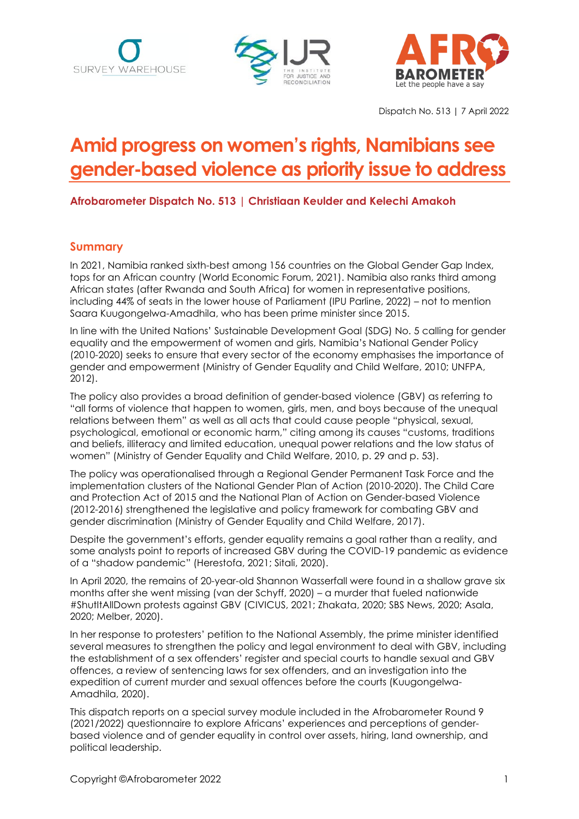





Dispatch No. 513 | 7 April 2022

# **Amid progress on women's rights, Namibians see gender-based violence as priority issue to address**

**Afrobarometer Dispatch No. 513 | Christiaan Keulder and Kelechi Amakoh**

## **Summary**

In 2021, Namibia ranked sixth-best among 156 countries on the Global Gender Gap Index, tops for an African country (World Economic Forum, 2021). Namibia also ranks third among African states (after Rwanda and South Africa) for women in representative positions, including 44% of seats in the lower house of Parliament (IPU Parline, 2022) – not to mention Saara Kuugongelwa-Amadhila, who has been prime minister since 2015.

In line with the United Nations' Sustainable Development Goal (SDG) No. 5 calling for gender equality and the empowerment of women and girls, Namibia's National Gender Policy (2010-2020) seeks to ensure that every sector of the economy emphasises the importance of gender and empowerment (Ministry of Gender Equality and Child Welfare, 2010; UNFPA, 2012).

The policy also provides a broad definition of gender-based violence (GBV) as referring to "all forms of violence that happen to women, girls, men, and boys because of the unequal relations between them" as well as all acts that could cause people "physical, sexual, psychological, emotional or economic harm," citing among its causes "customs, traditions and beliefs, illiteracy and limited education, unequal power relations and the low status of women" (Ministry of Gender Equality and Child Welfare, 2010, p. 29 and p. 53).

The policy was operationalised through a Regional Gender Permanent Task Force and the implementation clusters of the National Gender Plan of Action (2010-2020). The Child Care and Protection Act of 2015 and the National Plan of Action on Gender-based Violence (2012-2016) strengthened the legislative and policy framework for combating GBV and gender discrimination (Ministry of Gender Equality and Child Welfare, 2017).

Despite the government's efforts, gender equality remains a goal rather than a reality, and some analysts point to reports of increased GBV during the COVID-19 pandemic as evidence of a "shadow pandemic" (Herestofa, 2021; Sitali, 2020).

In April 2020, the remains of 20-year-old Shannon Wasserfall were found in a shallow grave six months after she went missing (van der Schyff, 2020) – a murder that fueled nationwide #ShutItAllDown protests against GBV (CIVICUS, 2021; Zhakata, 2020; SBS News, 2020; Asala, 2020; Melber, 2020).

In her response to protesters' petition to the National Assembly, the prime minister identified several measures to strengthen the policy and legal environment to deal with GBV, including the establishment of a sex offenders' register and special courts to handle sexual and GBV offences, a review of sentencing laws for sex offenders, and an investigation into the expedition of current murder and sexual offences before the courts (Kuugongelwa-Amadhila, 2020).

This dispatch reports on a special survey module included in the Afrobarometer Round 9 (2021/2022) questionnaire to explore Africans' experiences and perceptions of genderbased violence and of gender equality in control over assets, hiring, land ownership, and political leadership.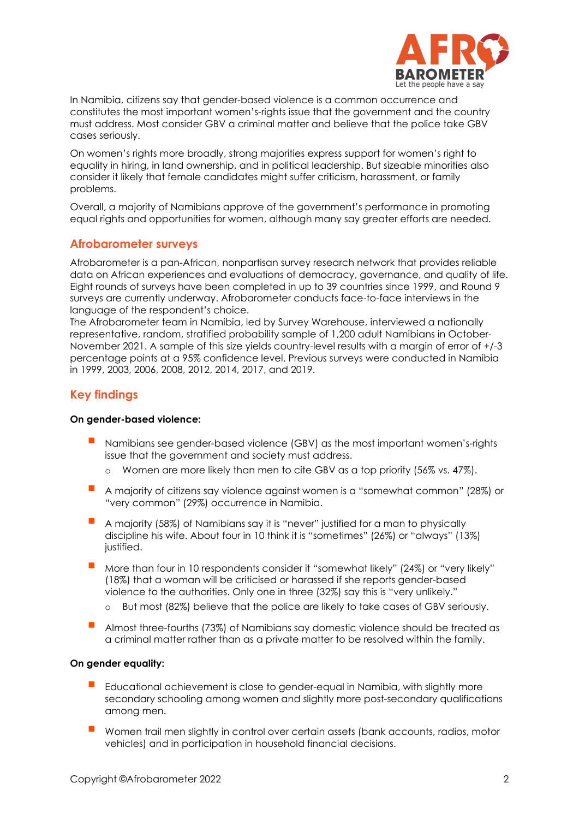

In Namibia, citizens say that gender-based violence is a common occurrence and constitutes the most important women's-rights issue that the government and the country must address. Most consider GBV a criminal matter and believe that the police take GBV cases seriously.

On women's rights more broadly, strong majorities express support for women's right to equality in hiring, in land ownership, and in political leadership. But sizeable minorities also consider it likely that female candidates might suffer criticism, harassment, or family problems.

Overall, a majority of Namibians approve of the government's performance in promoting equal rights and opportunities for women, although many say greater efforts are needed.

#### **Afrobarometer surveys**

Afrobarometer is a pan-African, nonpartisan survey research network that provides reliable data on African experiences and evaluations of democracy, governance, and quality of life. Eight rounds of surveys have been completed in up to 39 countries since 1999, and Round 9 surveys are currently underway. Afrobarometer conducts face-to-face interviews in the language of the respondent's choice.

The Afrobarometer team in Namibia, led by Survey Warehouse, interviewed a nationally representative, random, stratified probability sample of 1,200 adult Namibians in October-November 2021. A sample of this size yields country-level results with a margin of error of +/-3 percentage points at a 95% confidence level. Previous surveys were conducted in Namibia in 1999, 2003, 2006, 2008, 2012, 2014, 2017, and 2019.

## **Key findings**

#### **On gender-based violence:**

- Namibians see gender-based violence (GBV) as the most important women's-rights issue that the government and society must address.
	- Women are more likely than men to cite GBV as a top priority (56% vs. 47%).
- A majority of citizens say violence against women is a "somewhat common" (28%) or "very common" (29%) occurrence in Namibia.
- A majority (58%) of Namibians say it is "never" justified for a man to physically discipline his wife. About four in 10 think it is "sometimes" (26%) or "always" (13%) justified.
- More than four in 10 respondents consider it "somewhat likely" (24%) or "very likely" (18%) that a woman will be criticised or harassed if she reports gender-based violence to the authorities. Only one in three (32%) say this is "very unlikely."
	- o But most (82%) believe that the police are likely to take cases of GBV seriously.
- Almost three-fourths (73%) of Namibians say domestic violence should be treated as a criminal matter rather than as a private matter to be resolved within the family.

#### **On gender equality:**

- Educational achievement is close to gender-equal in Namibia, with slightly more secondary schooling among women and slightly more post-secondary qualifications among men.
- Women trail men slightly in control over certain assets (bank accounts, radios, motor vehicles) and in participation in household financial decisions.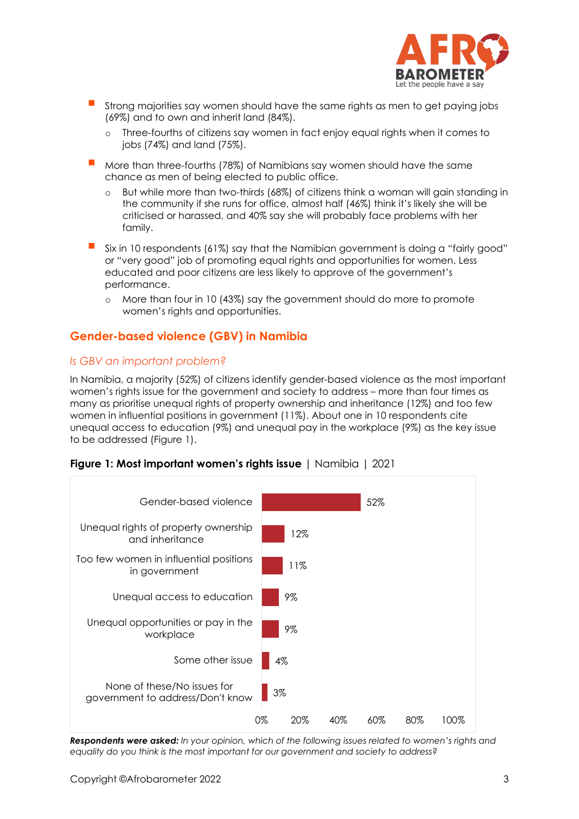

- Strong majorities say women should have the same rights as men to get paying jobs (69%) and to own and inherit land (84%).
	- o Three-fourths of citizens say women in fact enjoy equal rights when it comes to jobs (74%) and land (75%).
- More than three-fourths (78%) of Namibians say women should have the same chance as men of being elected to public office.
	- o But while more than two-thirds (68%) of citizens think a woman will gain standing in the community if she runs for office, almost half (46%) think it's likely she will be criticised or harassed, and 40% say she will probably face problems with her family.
- Six in 10 respondents (61%) say that the Namibian government is doing a "fairly good" or "very good" job of promoting equal rights and opportunities for women. Less educated and poor citizens are less likely to approve of the government's performance.
	- o More than four in 10 (43%) say the government should do more to promote women's rights and opportunities.

# **Gender-based violence (GBV) in Namibia**

### *Is GBV an important problem?*

In Namibia, a majority (52%) of citizens identify gender-based violence as the most important women's rights issue for the government and society to address – more than four times as many as prioritise unequal rights of property ownership and inheritance (12%) and too few women in influential positions in government (11%). About one in 10 respondents cite unequal access to education (9%) and unequal pay in the workplace (9%) as the key issue to be addressed (Figure 1).



**Figure 1: Most important women's rights issue** | Namibia | 2021

*Respondents were asked: In your opinion, which of the following issues related to women's rights and equality do you think is the most important for our government and society to address?*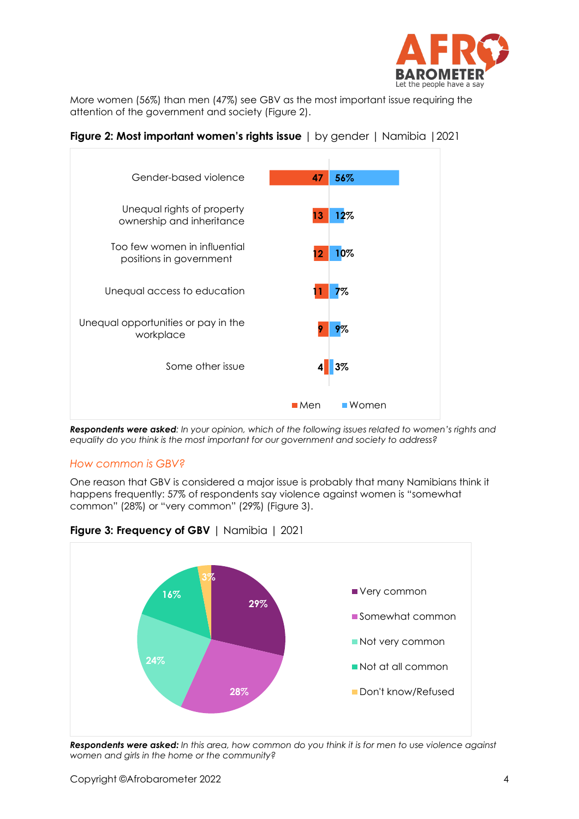

More women (56%) than men (47%) see GBV as the most important issue requiring the attention of the government and society (Figure 2).





*Respondents were asked: In your opinion, which of the following issues related to women's rights and equality do you think is the most important for our government and society to address?*

#### *How common is GBV?*

One reason that GBV is considered a major issue is probably that many Namibians think it happens frequently: 57% of respondents say violence against women is "somewhat common" (28%) or "very common" (29%) (Figure 3).



**Figure 3: Frequency of GBV** | Namibia | 2021

*Respondents were asked: In this area, how common do you think it is for men to use violence against women and girls in the home or the community?*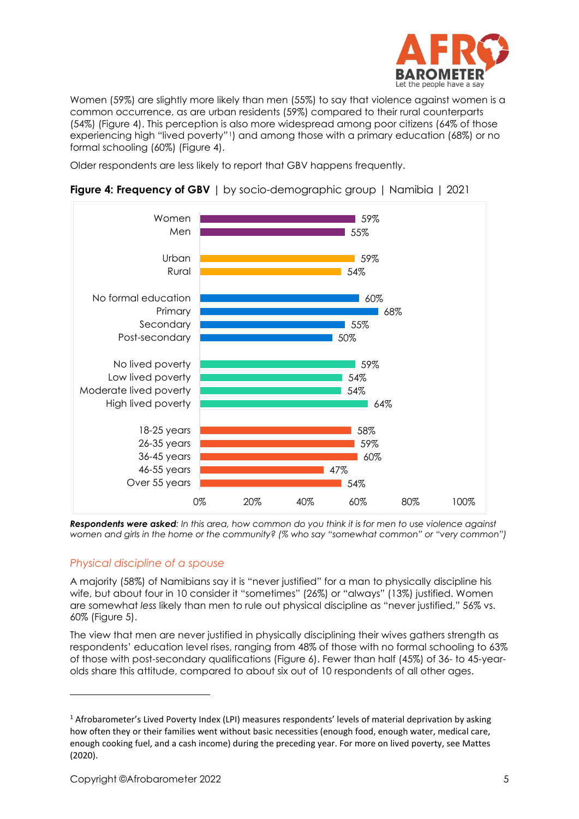

Women (59%) are slightly more likely than men (55%) to say that violence against women is a common occurrence, as are urban residents (59%) compared to their rural counterparts (54%) (Figure 4). This perception is also more widespread among poor citizens (64% of those experiencing high "lived poverty"[1\)](#page-4-0) and among those with a primary education (68%) or no formal schooling (60%) (Figure 4).

Older respondents are less likely to report that GBV happens frequently.



**Figure 4: Frequency of GBV** | by socio-demographic group | Namibia | 2021

*Respondents were asked: In this area, how common do you think it is for men to use violence against women and girls in the home or the community? (% who say "somewhat common" or "very common")*

### *Physical discipline of a spouse*

A majority (58%) of Namibians say it is "never justified" for a man to physically discipline his wife, but about four in 10 consider it "sometimes" (26%) or "always" (13%) justified. Women are somewhat *less* likely than men to rule out physical discipline as "never justified," 56% vs. 60% (Figure 5).

The view that men are never justified in physically disciplining their wives gathers strength as respondents' education level rises, ranging from 48% of those with no formal schooling to 63% of those with post-secondary qualifications (Figure 6). Fewer than half (45%) of 36- to 45-yearolds share this attitude, compared to about six out of 10 respondents of all other ages.

<span id="page-4-0"></span><sup>&</sup>lt;sup>1</sup> Afrobarometer's Lived Poverty Index (LPI) measures respondents' levels of material deprivation by asking how often they or their families went without basic necessities (enough food, enough water, medical care, enough cooking fuel, and a cash income) during the preceding year. For more on lived poverty, see Mattes (2020).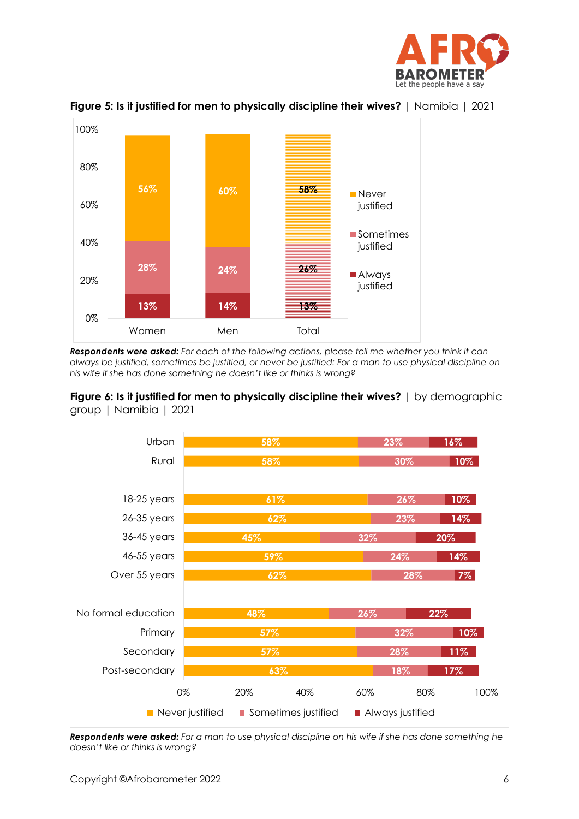



**Figure 5: Is it justified for men to physically discipline their wives?** | Namibia | 2021

*Respondents were asked: For each of the following actions, please tell me whether you think it can always be justified, sometimes be justified, or never be justified: For a man to use physical discipline on his wife if she has done something he doesn't like or thinks is wrong?*



**Figure 6: Is it justified for men to physically discipline their wives?** | by demographic group | Namibia | 2021

*Respondents were asked: For a man to use physical discipline on his wife if she has done something he doesn't like or thinks is wrong?*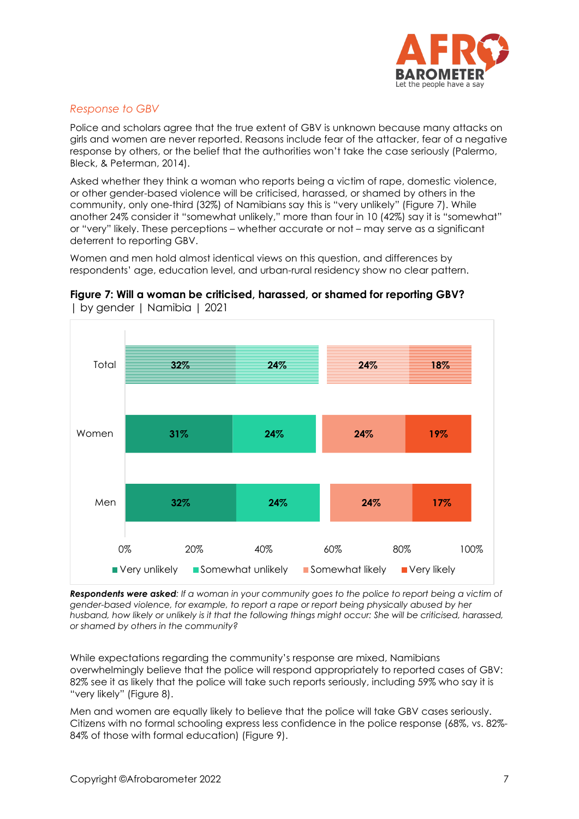

#### *Response to GBV*

Police and scholars agree that the true extent of GBV is unknown because many attacks on girls and women are never reported. Reasons include fear of the attacker, fear of a negative response by others, or the belief that the authorities won't take the case seriously (Palermo, Bleck, & Peterman, 2014).

Asked whether they think a woman who reports being a victim of rape, domestic violence, or other gender-based violence will be criticised, harassed, or shamed by others in the community, only one-third (32%) of Namibians say this is "very unlikely" (Figure 7). While another 24% consider it "somewhat unlikely," more than four in 10 (42%) say it is "somewhat" or "very" likely. These perceptions – whether accurate or not – may serve as a significant deterrent to reporting GBV.

Women and men hold almost identical views on this question, and differences by respondents' age, education level, and urban-rural residency show no clear pattern.



**Figure 7: Will a woman be criticised, harassed, or shamed for reporting GBV?** | by gender | Namibia | 2021

*Respondents were asked: If a woman in your community goes to the police to report being a victim of gender-based violence, for example, to report a rape or report being physically abused by her husband, how likely or unlikely is it that the following things might occur: She will be criticised, harassed, or shamed by others in the community?*

While expectations regarding the community's response are mixed, Namibians overwhelmingly believe that the police will respond appropriately to reported cases of GBV: 82% see it as likely that the police will take such reports seriously, including 59% who say it is "very likely" (Figure 8).

Men and women are equally likely to believe that the police will take GBV cases seriously. Citizens with no formal schooling express less confidence in the police response (68%, vs. 82%- 84% of those with formal education) (Figure 9).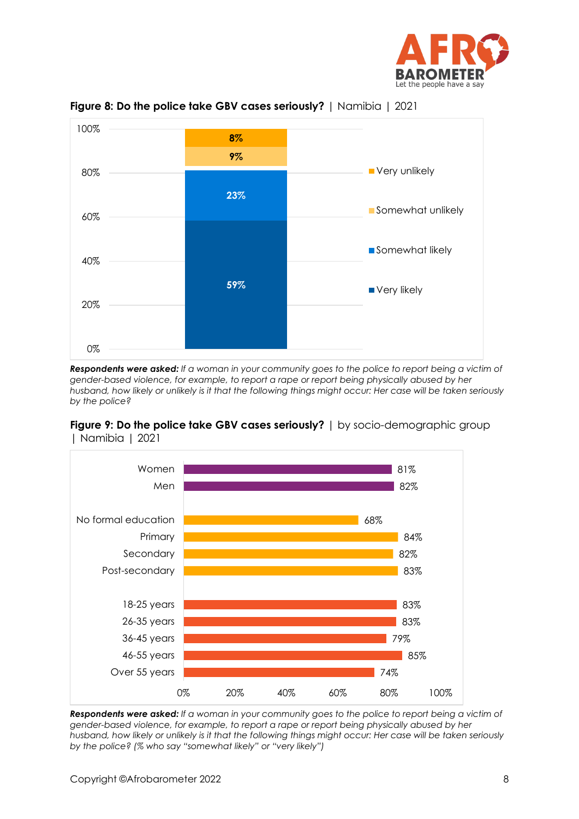



**Figure 8: Do the police take GBV cases seriously?** | Namibia | 2021

*Respondents were asked: If a woman in your community goes to the police to report being a victim of gender-based violence, for example, to report a rape or report being physically abused by her husband, how likely or unlikely is it that the following things might occur: Her case will be taken seriously by the police?* 

#### **Figure 9: Do the police take GBV cases seriously?** | by socio-demographic group | Namibia | 2021



*Respondents were asked: If a woman in your community goes to the police to report being a victim of gender-based violence, for example, to report a rape or report being physically abused by her husband, how likely or unlikely is it that the following things might occur: Her case will be taken seriously by the police? (% who say "somewhat likely" or "very likely")*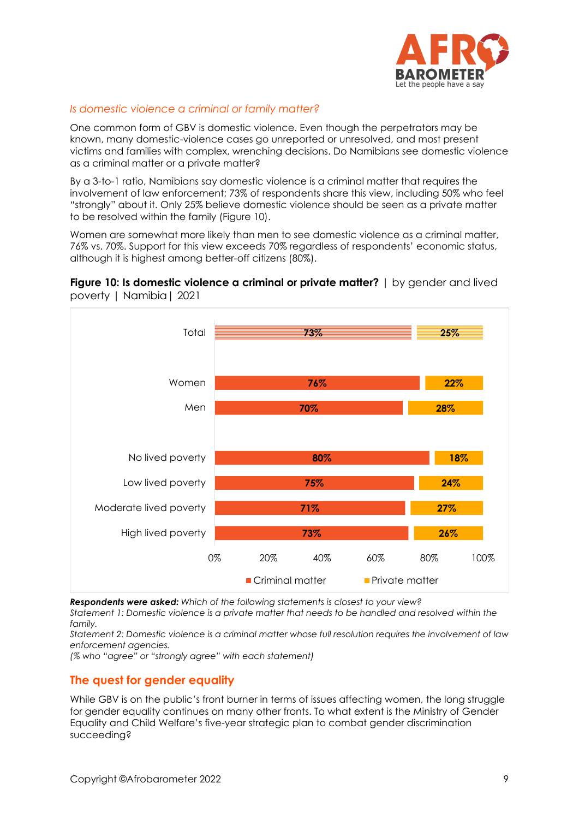

## *Is domestic violence a criminal or family matter?*

One common form of GBV is domestic violence. Even though the perpetrators may be known, many domestic-violence cases go unreported or unresolved, and most present victims and families with complex, wrenching decisions. Do Namibians see domestic violence as a criminal matter or a private matter?

By a 3-to-1 ratio, Namibians say domestic violence is a criminal matter that requires the involvement of law enforcement; 73% of respondents share this view, including 50% who feel "strongly" about it. Only 25% believe domestic violence should be seen as a private matter to be resolved within the family (Figure 10).

Women are somewhat more likely than men to see domestic violence as a criminal matter, 76% vs. 70%. Support for this view exceeds 70% regardless of respondents' economic status, although it is highest among better-off citizens (80%).





*Respondents were asked: Which of the following statements is closest to your view?* 

*Statement 1: Domestic violence is a private matter that needs to be handled and resolved within the family.* 

*Statement 2: Domestic violence is a criminal matter whose full resolution requires the involvement of law enforcement agencies.*

*(% who "agree" or "strongly agree" with each statement)*

### **The quest for gender equality**

While GBV is on the public's front burner in terms of issues affecting women, the long struggle for gender equality continues on many other fronts. To what extent is the Ministry of Gender Equality and Child Welfare's five-year strategic plan to combat gender discrimination succeeding?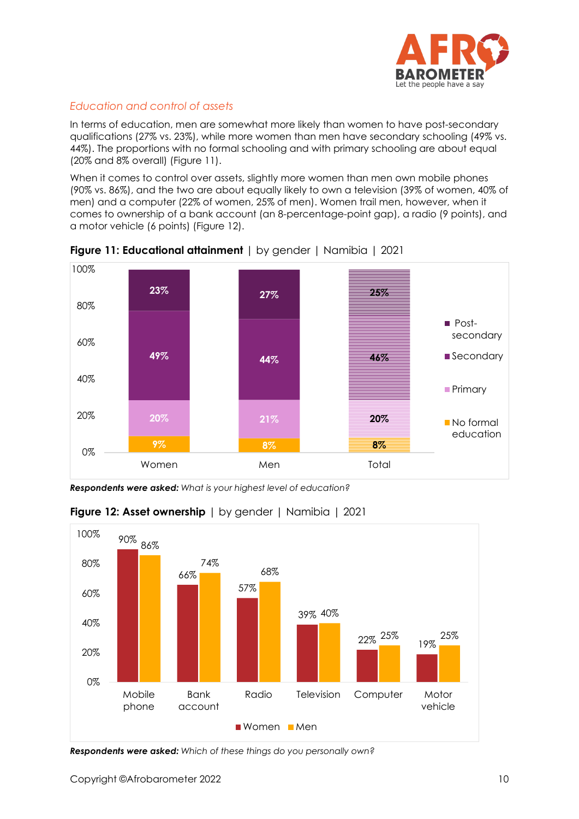

## *Education and control of assets*

In terms of education, men are somewhat more likely than women to have post-secondary qualifications (27% vs. 23%), while more women than men have secondary schooling (49% vs. 44%). The proportions with no formal schooling and with primary schooling are about equal (20% and 8% overall) (Figure 11).

When it comes to control over assets, slightly more women than men own mobile phones (90% vs. 86%), and the two are about equally likely to own a television (39% of women, 40% of men) and a computer (22% of women, 25% of men). Women trail men, however, when it comes to ownership of a bank account (an 8-percentage-point gap), a radio (9 points), and a motor vehicle (6 points) (Figure 12).





*Respondents were asked: What is your highest level of education?*



### **Figure 12: Asset ownership** | by gender | Namibia | 2021

*Respondents were asked: Which of these things do you personally own?*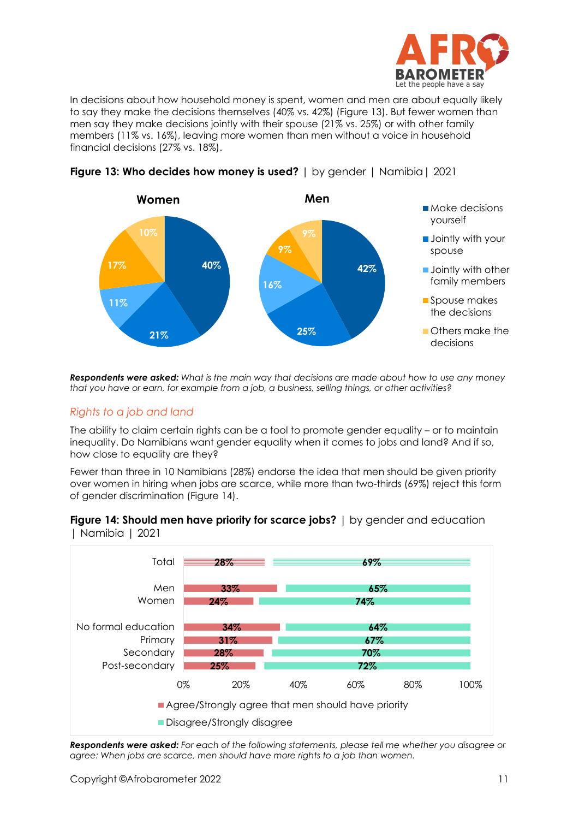

In decisions about how household money is spent, women and men are about equally likely to say they make the decisions themselves (40% vs. 42%) (Figure 13). But fewer women than men say they make decisions jointly with their spouse (21% vs. 25%) or with other family members (11% vs. 16%), leaving more women than men without a voice in household financial decisions (27% vs. 18%).





*Respondents were asked: What is the main way that decisions are made about how to use any money that you have or earn, for example from a job, a business, selling things, or other activities?*

#### *Rights to a job and land*

The ability to claim certain rights can be a tool to promote gender equality – or to maintain inequality. Do Namibians want gender equality when it comes to jobs and land? And if so, how close to equality are they?

Fewer than three in 10 Namibians (28%) endorse the idea that men should be given priority over women in hiring when jobs are scarce, while more than two-thirds (69%) reject this form of gender discrimination (Figure 14).





*Respondents were asked: For each of the following statements, please tell me whether you disagree or agree: When jobs are scarce, men should have more rights to a job than women.*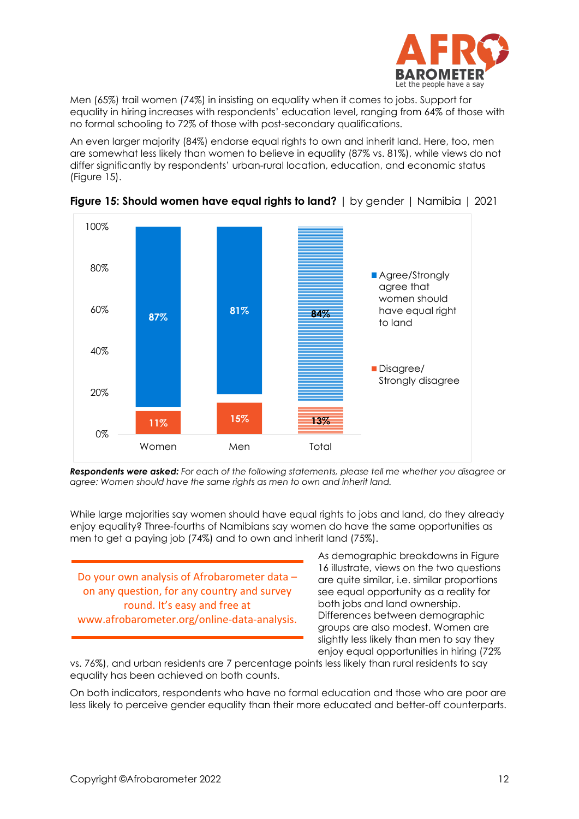

Men (65%) trail women (74%) in insisting on equality when it comes to jobs. Support for equality in hiring increases with respondents' education level, ranging from 64% of those with no formal schooling to 72% of those with post-secondary qualifications.

An even larger majority (84%) endorse equal rights to own and inherit land. Here, too, men are somewhat less likely than women to believe in equality (87% vs. 81%), while views do not differ significantly by respondents' urban-rural location, education, and economic status (Figure 15).



**Figure 15: Should women have equal rights to land?** | by gender | Namibia | 2021

*Respondents were asked: For each of the following statements, please tell me whether you disagree or agree: Women should have the same rights as men to own and inherit land.* 

While large majorities say women should have equal rights to jobs and land, do they already enjoy equality? Three-fourths of Namibians say women do have the same opportunities as men to get a paying job (74%) and to own and inherit land (75%).

Do your own analysis of Afrobarometer data – on any question, for any country and survey round. It's easy and free at www.afrobarometer.org/online-data-analysis.

As demographic breakdowns in Figure 16 illustrate, views on the two questions are quite similar, i.e. similar proportions see equal opportunity as a reality for both jobs and land ownership. Differences between demographic groups are also modest. Women are slightly less likely than men to say they enjoy equal opportunities in hiring (72%

vs. 76%), and urban residents are 7 percentage points less likely than rural residents to say equality has been achieved on both counts.

On both indicators, respondents who have no formal education and those who are poor are less likely to perceive gender equality than their more educated and better-off counterparts.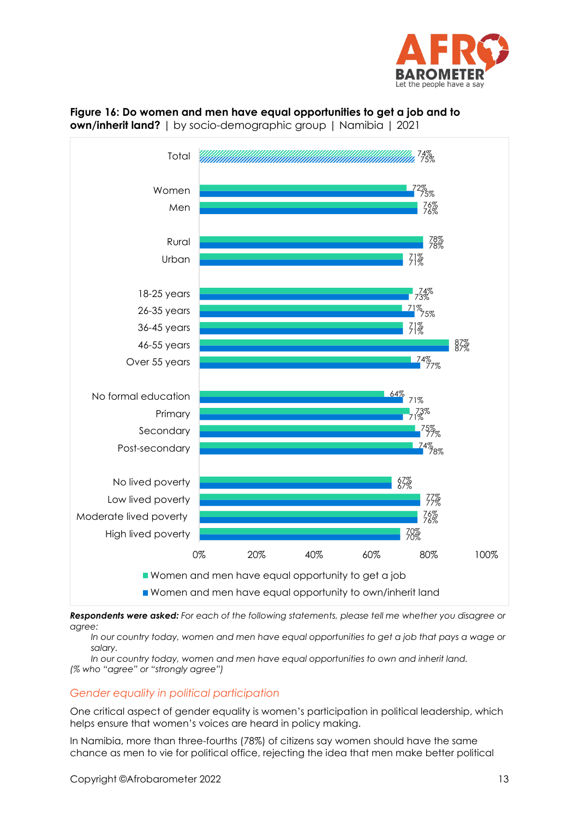



**Figure 16: Do women and men have equal opportunities to get a job and to own/inherit land?** | by socio-demographic group | Namibia | 2021

*Respondents were asked: For each of the following statements, please tell me whether you disagree or agree:* 

*In our country today, women and men have equal opportunities to get a job that pays a wage or salary.*

*In our country today, women and men have equal opportunities to own and inherit land. (% who "agree" or "strongly agree")*

# *Gender equality in political participation*

One critical aspect of gender equality is women's participation in political leadership, which helps ensure that women's voices are heard in policy making.

In Namibia, more than three-fourths (78%) of citizens say women should have the same chance as men to vie for political office, rejecting the idea that men make better political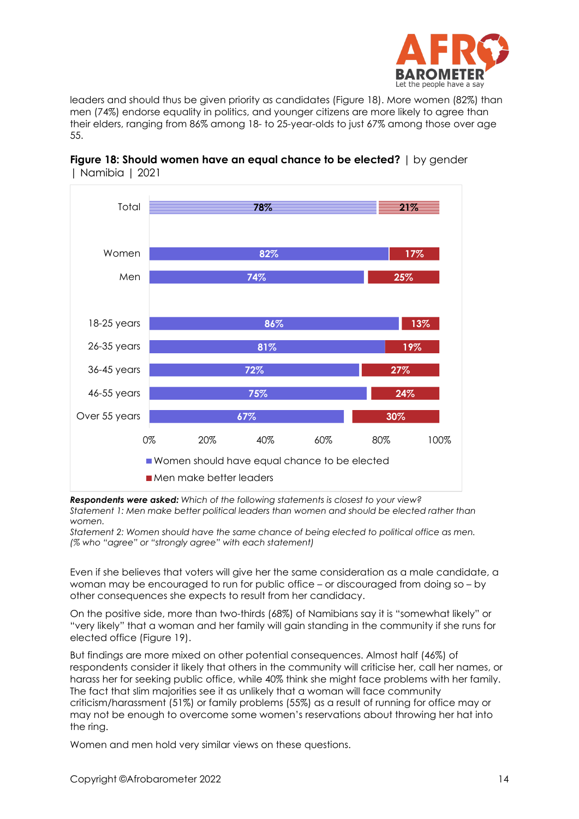

leaders and should thus be given priority as candidates (Figure 18). More women (82%) than men (74%) endorse equality in politics, and younger citizens are more likely to agree than their elders, ranging from 86% among 18- to 25-year-olds to just 67% among those over age 55.



#### **Figure 18: Should women have an equal chance to be elected?** I by gender | Namibia | 2021

*Respondents were asked: Which of the following statements is closest to your view? Statement 1: Men make better political leaders than women and should be elected rather than women.*

*Statement 2: Women should have the same chance of being elected to political office as men. (% who "agree" or "strongly agree" with each statement)*

Even if she believes that voters will give her the same consideration as a male candidate, a woman may be encouraged to run for public office – or discouraged from doing so – by other consequences she expects to result from her candidacy.

On the positive side, more than two-thirds (68%) of Namibians say it is "somewhat likely" or "very likely" that a woman and her family will gain standing in the community if she runs for elected office (Figure 19).

But findings are more mixed on other potential consequences. Almost half (46%) of respondents consider it likely that others in the community will criticise her, call her names, or harass her for seeking public office, while 40% think she might face problems with her family. The fact that slim majorities see it as unlikely that a woman will face community criticism/harassment (51%) or family problems (55%) as a result of running for office may or may not be enough to overcome some women's reservations about throwing her hat into the ring.

Women and men hold very similar views on these questions.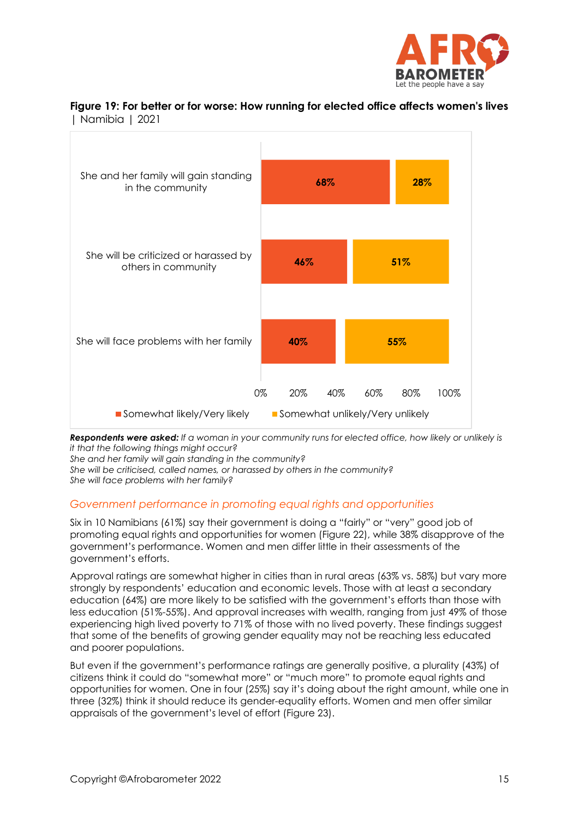

#### **Figure 19: For better or for worse: How running for elected office affects women's lives** | Namibia | 2021



*Respondents were asked: If a woman in your community runs for elected office, how likely or unlikely is it that the following things might occur?*

*She and her family will gain standing in the community?* 

*She will be criticised, called names, or harassed by others in the community?*

*She will face problems with her family?*

#### *Government performance in promoting equal rights and opportunities*

Six in 10 Namibians (61%) say their government is doing a "fairly" or "very" good job of promoting equal rights and opportunities for women (Figure 22), while 38% disapprove of the government's performance. Women and men differ little in their assessments of the government's efforts.

Approval ratings are somewhat higher in cities than in rural areas (63% vs. 58%) but vary more strongly by respondents' education and economic levels. Those with at least a secondary education (64%) are more likely to be satisfied with the government's efforts than those with less education (51%-55%). And approval increases with wealth, ranging from just 49% of those experiencing high lived poverty to 71% of those with no lived poverty. These findings suggest that some of the benefits of growing gender equality may not be reaching less educated and poorer populations.

But even if the government's performance ratings are generally positive, a plurality (43%) of citizens think it could do "somewhat more" or "much more" to promote equal rights and opportunities for women. One in four (25%) say it's doing about the right amount, while one in three (32%) think it should reduce its gender-equality efforts. Women and men offer similar appraisals of the government's level of effort (Figure 23).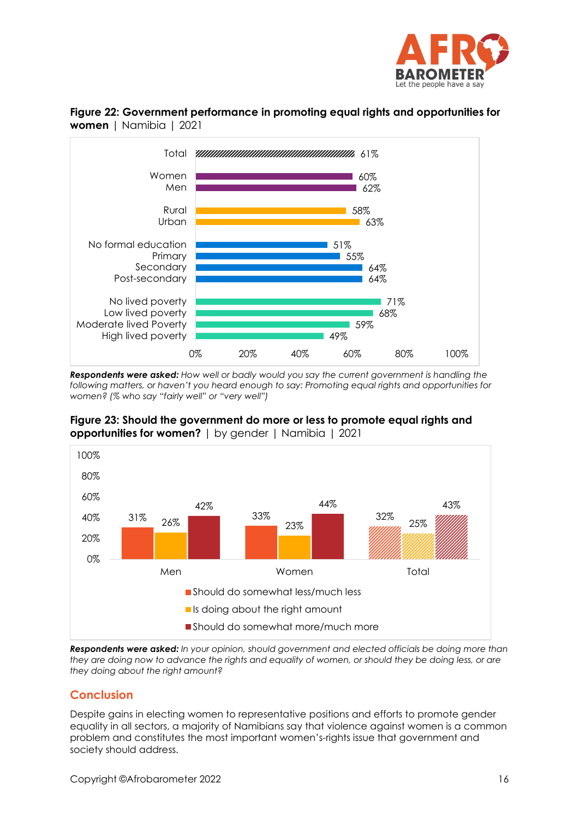



**Figure 22: Government performance in promoting equal rights and opportunities for women** | Namibia | 2021

*Respondents were asked: How well or badly would you say the current government is handling the following matters, or haven't you heard enough to say: Promoting equal rights and opportunities for women? (% who say "fairly well" or "very well")* 

**Figure 23: Should the government do more or less to promote equal rights and opportunities for women?** I by gender I Namibia 1 2021



*Respondents were asked: In your opinion, should government and elected officials be doing more than they are doing now to advance the rights and equality of women, or should they be doing less, or are they doing about the right amount?*

# **Conclusion**

Despite gains in electing women to representative positions and efforts to promote gender equality in all sectors, a majority of Namibians say that violence against women is a common problem and constitutes the most important women's-rights issue that government and society should address.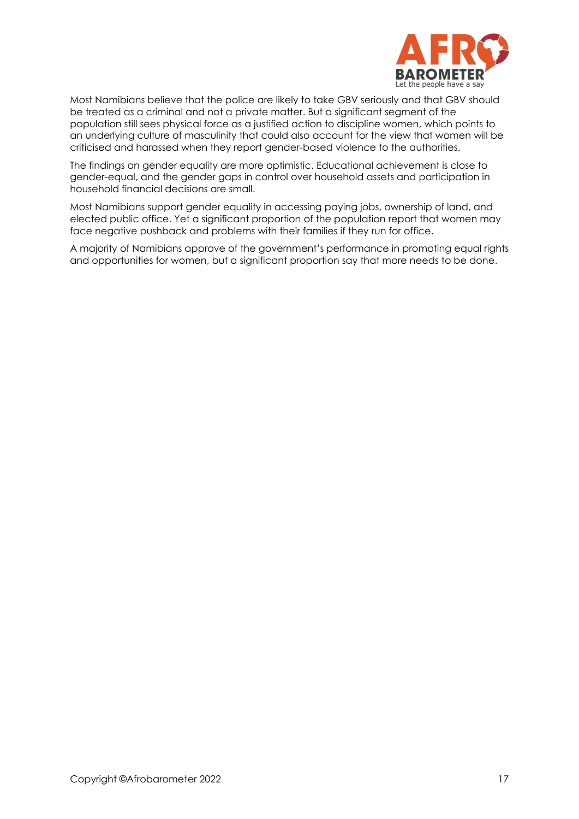

Most Namibians believe that the police are likely to take GBV seriously and that GBV should be treated as a criminal and not a private matter. But a significant segment of the population still sees physical force as a justified action to discipline women, which points to an underlying culture of masculinity that could also account for the view that women will be criticised and harassed when they report gender-based violence to the authorities.

The findings on gender equality are more optimistic. Educational achievement is close to gender-equal, and the gender gaps in control over household assets and participation in household financial decisions are small.

Most Namibians support gender equality in accessing paying jobs, ownership of land, and elected public office. Yet a significant proportion of the population report that women may face negative pushback and problems with their families if they run for office.

A majority of Namibians approve of the government's performance in promoting equal rights and opportunities for women, but a significant proportion say that more needs to be done.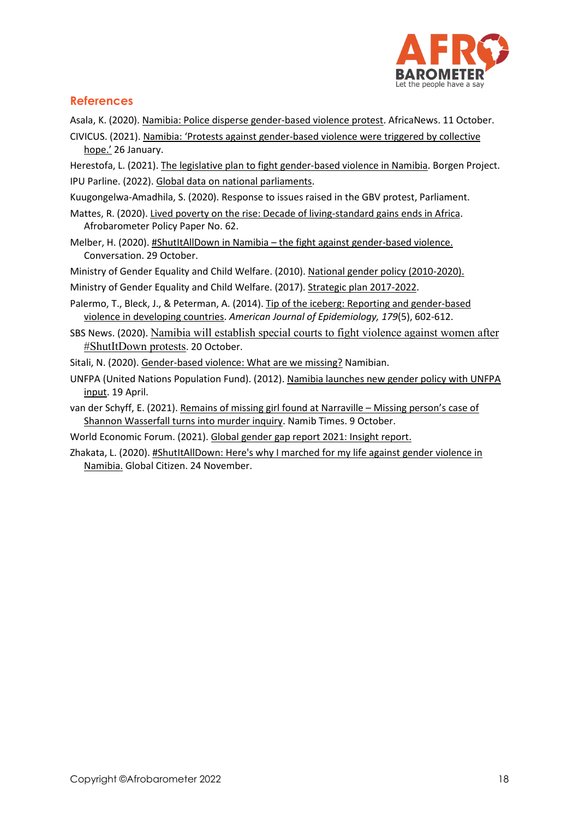

## **References**

Asala, K. (2020). [Namibia: Police disperse gender-based violence protest.](https://www.africanews.com/2020/10/11/namibia-police-disperse-gender-based-violence-protest) AfricaNews. 11 October.

- CIVICUS. (2021). [Namibia: 'Protests against gender-based violence were triggered by collective](https://www.civicus.org/index.php/media-resources/news/interviews/4842-namibia-protests-against-gender-based-violence-were-triggered-by-collective-hope)  [hope.'](https://www.civicus.org/index.php/media-resources/news/interviews/4842-namibia-protests-against-gender-based-violence-were-triggered-by-collective-hope) 26 January.
- Herestofa, L. (2021)[. The legislative plan to fight gender-based violence in Namibia.](https://borgenproject.org/genderbased-violence-in-namibia/) Borgen Project. IPU Parline. (2022)[. Global data on national parliaments.](https://data.ipu.org/women-ranking?month=3&year=2022)
- Kuugongelwa-Amadhila, S. (2020). Response to issues raised in the GBV protest, Parliament.
- Mattes, R. (2020). [Lived poverty on the rise: Decade of living-standard gains ends in Africa.](http://afrobarometer.org/publications/pp62-lived-poverty-rise-decade-living-standard-gains-ends-africa) Afrobarometer Policy Paper No. 62.
- Melber, H. (2020). #ShutItAllDown in Namibia [the fight against gender-based violence.](https://theconversation.com/shutitalldown-in-namibia-the-fight-against-gender-based-violence-148809) Conversation. 29 October.
- Ministry of Gender Equality and Child Welfare. (2010). [National gender policy \(2010-2020\).](http://www.africanchildforum.org/clr/policy%20per%20country/namibia/namibia_gender_2010-2020_en.pdf)

Ministry of Gender Equality and Child Welfare. (2017). [Strategic plan 2017-2022.](https://mgecw.gov.na/documents/560522/565828/Strategic+Plan+2017-22.pdf/4852fda3-445d-41f7-97ce-e5bf7efcd8d0)

- Palermo, T., Bleck, J., & Peterman, A. (2014)[. Tip of the iceberg: Reporting and gender-based](https://www.ncbi.nlm.nih.gov/pmc/articles/PMC3927971/)  [violence in developing countries.](https://www.ncbi.nlm.nih.gov/pmc/articles/PMC3927971/) *American Journal of Epidemiology, 179*(5), 602-612.
- SBS News. (2020). [Namibia will establish special courts to fight violence against women after](https://www.sbs.com.au/news/article/namibia-will-establish-special-courts-to-fight-violence-against-women-after-shutitdown-protests/3fhmaf9u8)  [#ShutItDown protests](https://www.sbs.com.au/news/article/namibia-will-establish-special-courts-to-fight-violence-against-women-after-shutitdown-protests/3fhmaf9u8). 20 October.
- Sitali, N. (2020)[. Gender-based violence: What are we missing?](https://www.namibian.com.na/205375/archive-read/Gender-Based-Violence-What-are-we-Missing) Namibian.
- UNFPA (United Nations Population Fund). (2012). [Namibia launches new gender policy with UNFPA](https://esaro.unfpa.org/en/news/namibia-launches-new-gender-policy-unfpa-input)  [input.](https://esaro.unfpa.org/en/news/namibia-launches-new-gender-policy-unfpa-input) 19 April.
- van der Schyff, E. (2021)[. Remains of missing girl found at Narraville –](https://www.namibtimes.net/remains-of-missing-girl-found-at-narraville-missing-persons-case-of-shannon-wasserfall-turns-into-murder-inquiry/) Missing person's case of Shannon Wasserfall [turns into murder inquiry.](https://www.namibtimes.net/remains-of-missing-girl-found-at-narraville-missing-persons-case-of-shannon-wasserfall-turns-into-murder-inquiry/) Namib Times. 9 October.
- World Economic Forum. (2021). [Global gender gap report 2021: Insight report.](https://www3.weforum.org/docs/WEF_GGGR_2021.pdf)
- Zhakata, L. (2020). [#ShutItAllDown: Here's why I marched for my life against gender violence in](https://www.globalcitizen.org/en/content/shutitalldown-gender-violence-namibia-activist/)  [Namibia.](https://www.globalcitizen.org/en/content/shutitalldown-gender-violence-namibia-activist/) Global Citizen. 24 November.